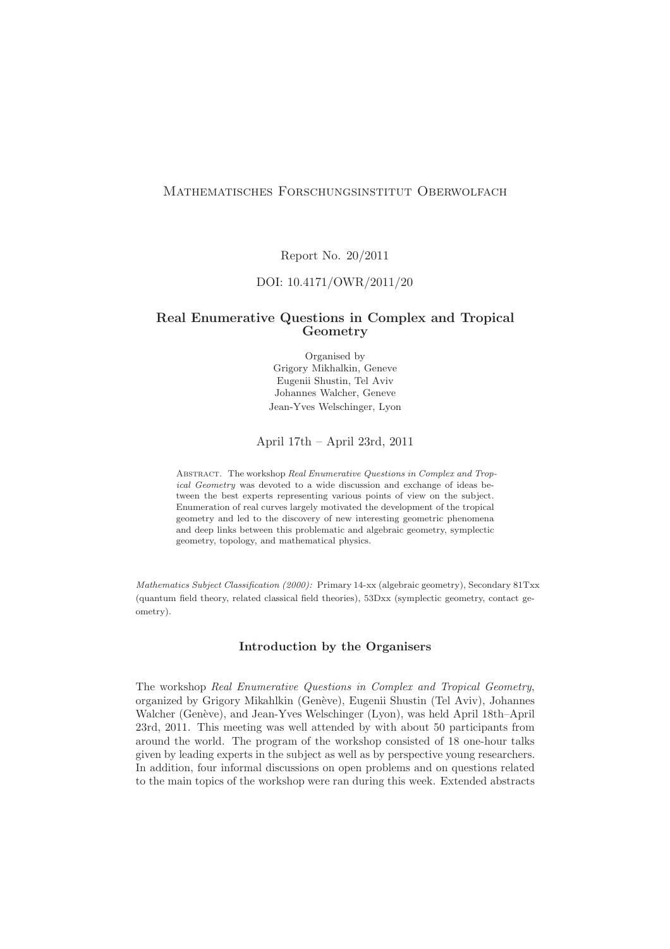# Mathematisches Forschungsinstitut Oberwolfach

Report No. 20/2011

### DOI: 10.4171/OWR/2011/20

## Real Enumerative Questions in Complex and Tropical Geometry

Organised by Grigory Mikhalkin, Geneve Eugenii Shustin, Tel Aviv Johannes Walcher, Geneve Jean-Yves Welschinger, Lyon

#### April 17th – April 23rd, 2011

Abstract. The workshop Real Enumerative Questions in Complex and Tropical Geometry was devoted to a wide discussion and exchange of ideas between the best experts representing various points of view on the subject. Enumeration of real curves largely motivated the development of the tropical geometry and led to the discovery of new interesting geometric phenomena and deep links between this problematic and algebraic geometry, symplectic geometry, topology, and mathematical physics.

Mathematics Subject Classification (2000): Primary 14-xx (algebraic geometry), Secondary 81Txx (quantum field theory, related classical field theories), 53Dxx (symplectic geometry, contact geometry).

## Introduction by the Organisers

The workshop Real Enumerative Questions in Complex and Tropical Geometry, organized by Grigory Mikahlkin (Genève), Eugenii Shustin (Tel Aviv), Johannes Walcher (Genève), and Jean-Yves Welschinger (Lyon), was held April 18th–April 23rd, 2011. This meeting was well attended by with about 50 participants from around the world. The program of the workshop consisted of 18 one-hour talks given by leading experts in the subject as well as by perspective young researchers. In addition, four informal discussions on open problems and on questions related to the main topics of the workshop were ran during this week. Extended abstracts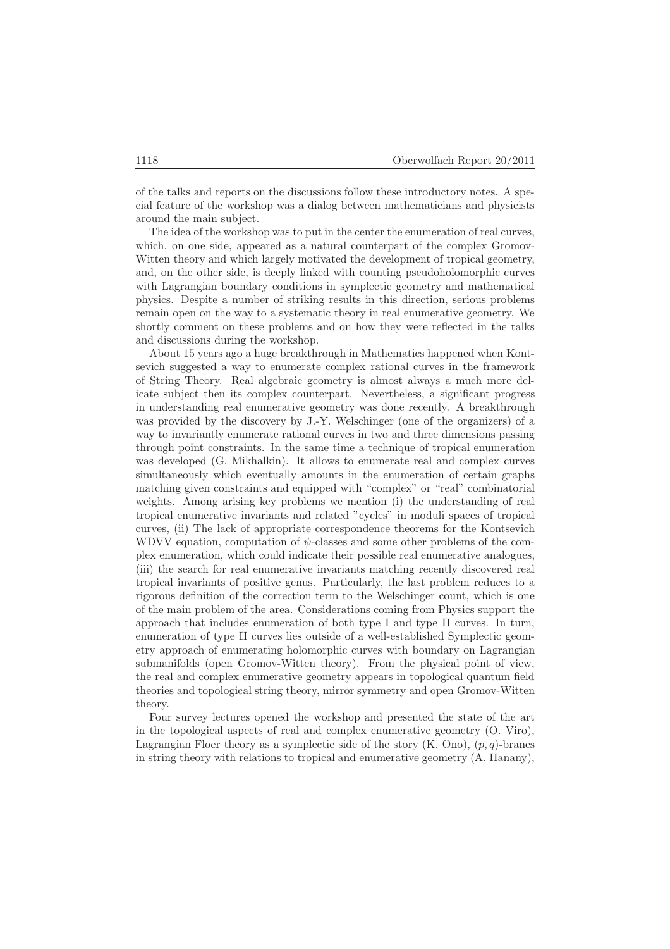of the talks and reports on the discussions follow these introductory notes. A special feature of the workshop was a dialog between mathematicians and physicists around the main subject.

The idea of the workshop was to put in the center the enumeration of real curves, which, on one side, appeared as a natural counterpart of the complex Gromov-Witten theory and which largely motivated the development of tropical geometry, and, on the other side, is deeply linked with counting pseudoholomorphic curves with Lagrangian boundary conditions in symplectic geometry and mathematical physics. Despite a number of striking results in this direction, serious problems remain open on the way to a systematic theory in real enumerative geometry. We shortly comment on these problems and on how they were reflected in the talks and discussions during the workshop.

About 15 years ago a huge breakthrough in Mathematics happened when Kontsevich suggested a way to enumerate complex rational curves in the framework of String Theory. Real algebraic geometry is almost always a much more delicate subject then its complex counterpart. Nevertheless, a significant progress in understanding real enumerative geometry was done recently. A breakthrough was provided by the discovery by J.-Y. Welschinger (one of the organizers) of a way to invariantly enumerate rational curves in two and three dimensions passing through point constraints. In the same time a technique of tropical enumeration was developed (G. Mikhalkin). It allows to enumerate real and complex curves simultaneously which eventually amounts in the enumeration of certain graphs matching given constraints and equipped with "complex" or "real" combinatorial weights. Among arising key problems we mention (i) the understanding of real tropical enumerative invariants and related "cycles" in moduli spaces of tropical curves, (ii) The lack of appropriate correspondence theorems for the Kontsevich WDVV equation, computation of  $\psi$ -classes and some other problems of the complex enumeration, which could indicate their possible real enumerative analogues, (iii) the search for real enumerative invariants matching recently discovered real tropical invariants of positive genus. Particularly, the last problem reduces to a rigorous definition of the correction term to the Welschinger count, which is one of the main problem of the area. Considerations coming from Physics support the approach that includes enumeration of both type I and type II curves. In turn, enumeration of type II curves lies outside of a well-established Symplectic geometry approach of enumerating holomorphic curves with boundary on Lagrangian submanifolds (open Gromov-Witten theory). From the physical point of view, the real and complex enumerative geometry appears in topological quantum field theories and topological string theory, mirror symmetry and open Gromov-Witten theory.

Four survey lectures opened the workshop and presented the state of the art in the topological aspects of real and complex enumerative geometry (O. Viro), Lagrangian Floer theory as a symplectic side of the story  $(K. Ono)$ ,  $(p, q)$ -branes in string theory with relations to tropical and enumerative geometry (A. Hanany),